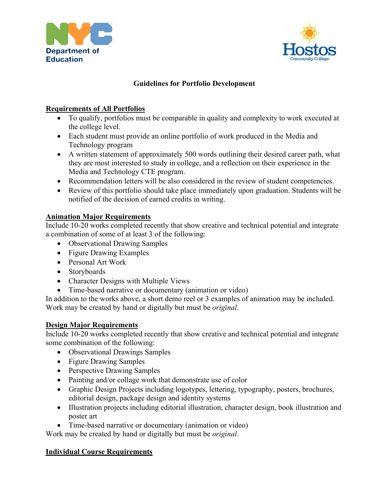



# **Guidelines for Portfolio Development**

## **Requirements of All Portfolios**

- To qualify, portfolios must be comparable in quality and complexity to work executed at the college level.
- Each student must provide an online portfolio of work produced in the Media and Technology program
- A written statement of approximately 500 words outlining their desired career path, what they are most interested to study in college, and a reflection on their experience in the Media and Technology CTE program.
- Recommendation letters will be also considered in the review of student competencies.
- Review of this portfolio should take place immediately upon graduation. Students will be notified of the decision of earned credits in writing.

## **Animation Major Requirements**

Include 10-20 works completed recently that show creative and technical potential and integrate a combination of some of at least 3 of the following:

- Observational Drawing Samples
- Figure Drawing Examples
- Personal Art Work
- Storyboards
- Character Designs with Multiple Views
- Time-based narrative or documentary (animation or video)

In addition to the works above, a short demo reel or 3 examples of animation may be included. Work may be created by hand or digitally but must be *original*.

### **Design Major Requirements**

Include 10-20 works completed recently that show creative and technical potential and integrate some combination of the following:

- Observational Drawings Samples
- Figure Drawing Samples
- Perspective Drawing Samples
- Painting and/or collage work that demonstrate use of color
- Graphic Design Projects including logotypes, lettering, typography, posters, brochures, editorial design, package design and identity systems
- Illustration projects including editorial illustration, character design, book illustration and poster art
- Time-based narrative or documentary (animation or video)

Work may be created by hand or digitally but must be *original*.

### **Individual Course Requirements**